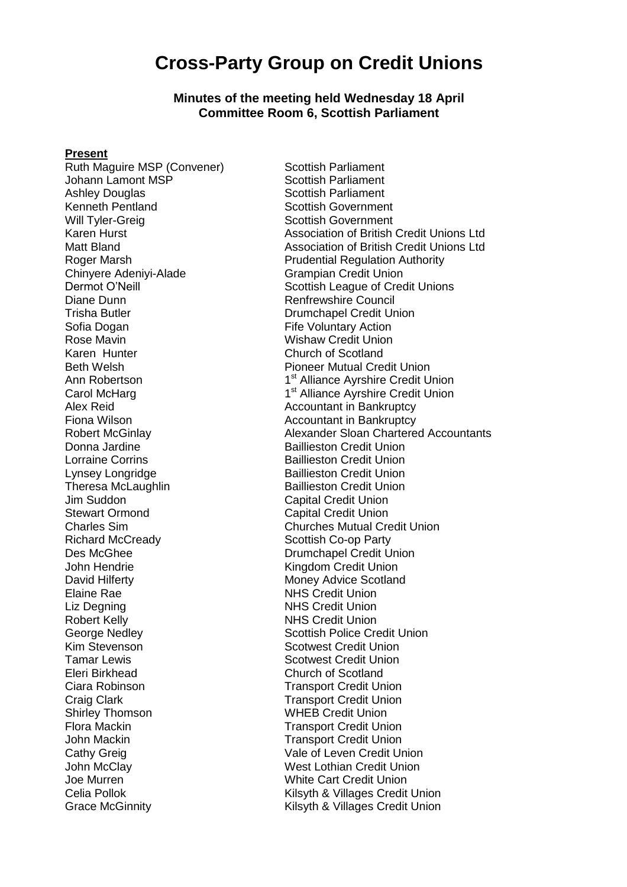# **Cross-Party Group on Credit Unions**

**Minutes of the meeting held Wednesday 18 April Committee Room 6, Scottish Parliament**

#### **Present**

Ruth Maguire MSP (Convener) Scottish Parliament<br>Johann Lamont MSP Scottish Parliament Johann Lamont MSP Ashley Douglas Scottish Parliament Kenneth Pentland Scottish Government Will Tyler-Greig Scottish Government Chinyere Adeniyi-Alade Diane Dunn **Diane Council** Renfrewshire Council Trisha Butler Drumchapel Credit Union Sofia Dogan **Fife Voluntary Action** Rose Mavin Nation Allen Controller Mishaw Credit Union<br>
Karen Hunter Nation Nation Church of Scotland Karen Hunter **Church of Scotland**<br>Reth Welsh **Church of Scotland**<br>Pioneer Mutual Cre Ann Robertson 1 Carol McHarg Alex Reid Accountant in Bankruptcy Fiona Wilson **Accountant in Bankruptcy Accountant** in Bankruptcy Donna Jardine **Baillieston Credit Union** Lorraine Corrins **Exercise Corring Contract Credit Union** Lynsey Longridge **Baillieston Credit Union** Theresa McLaughlin Baillieston Credit Union Jim Suddon Capital Credit Union Des McGhee Drumchapel Credit Union John Hendrie **Kingdom Credit Union** David Hilferty **Money Advice Scotland** Elaine Rae **NHS** Credit Union Liz Degning **NHS** Credit Union Robert Kelly **NHS** Credit Union Kim Stevenson Scotwest Credit Union **Tamar Lewis Contract Credit Union** Scotwest Credit Union Eleri Birkhead Church of Scotland Ciara Robinson Transport Credit Union **Craig Clark Craig Clark Credit Union** Shirley Thomson **MEB Credit Union**<br>Flora Mackin **Mackin** Transport Credit Union John Mackin Nation Credit Union John McClay **West Lothian Credit Union**<br>Joe Murren White Cart Credit Union

Karen Hurst Association of British Credit Unions Ltd Matt Bland<br>
Roger Marsh **Association of British Credit Unions Ltd**<br> **Association of British Credit Unions Ltd**<br> **Prudential Regulation Authority** Prudential Regulation Authority<br>Grampian Credit Union Dermot O'Neill Scottish League of Credit Unions Pioneer Mutual Credit Union 1<sup>st</sup> Alliance Ayrshire Credit Union 1<sup>st</sup> Alliance Ayrshire Credit Union Robert McGinlay **Alexander Sloan Chartered Accountants Capital Credit Union** Charles Sim Churches Mutual Credit Union Scottish Co-op Party George Nedley **Scottish Police Credit Union Transport Credit Union** Cathy Greig Cathy Greig Cathy Credit Union White Cart Credit Union Celia Pollok **Celia Pollok** Celia Pollok **Kilsyth & Villages Credit Union** Grace McGinnity **Kilsyth & Villages Credit Union**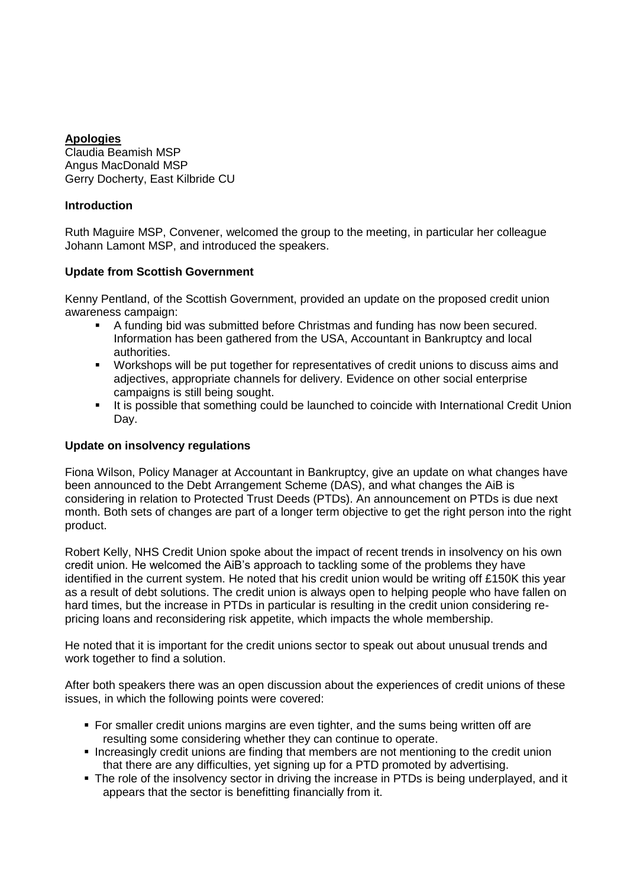# **Apologies**

Claudia Beamish MSP Angus MacDonald MSP Gerry Docherty, East Kilbride CU

### **Introduction**

Ruth Maguire MSP, Convener, welcomed the group to the meeting, in particular her colleague Johann Lamont MSP, and introduced the speakers.

# **Update from Scottish Government**

Kenny Pentland, of the Scottish Government, provided an update on the proposed credit union awareness campaign:

- A funding bid was submitted before Christmas and funding has now been secured. Information has been gathered from the USA, Accountant in Bankruptcy and local authorities.
- **•** Workshops will be put together for representatives of credit unions to discuss aims and adjectives, appropriate channels for delivery. Evidence on other social enterprise campaigns is still being sought.
- It is possible that something could be launched to coincide with International Credit Union Day.

#### **Update on insolvency regulations**

Fiona Wilson, Policy Manager at Accountant in Bankruptcy, give an update on what changes have been announced to the Debt Arrangement Scheme (DAS), and what changes the AiB is considering in relation to Protected Trust Deeds (PTDs). An announcement on PTDs is due next month. Both sets of changes are part of a longer term objective to get the right person into the right product.

Robert Kelly, NHS Credit Union spoke about the impact of recent trends in insolvency on his own credit union. He welcomed the AiB's approach to tackling some of the problems they have identified in the current system. He noted that his credit union would be writing off £150K this year as a result of debt solutions. The credit union is always open to helping people who have fallen on hard times, but the increase in PTDs in particular is resulting in the credit union considering repricing loans and reconsidering risk appetite, which impacts the whole membership.

He noted that it is important for the credit unions sector to speak out about unusual trends and work together to find a solution.

After both speakers there was an open discussion about the experiences of credit unions of these issues, in which the following points were covered:

- For smaller credit unions margins are even tighter, and the sums being written off are resulting some considering whether they can continue to operate.
- **Increasingly credit unions are finding that members are not mentioning to the credit union** that there are any difficulties, yet signing up for a PTD promoted by advertising.
- The role of the insolvency sector in driving the increase in PTDs is being underplayed, and it appears that the sector is benefitting financially from it.